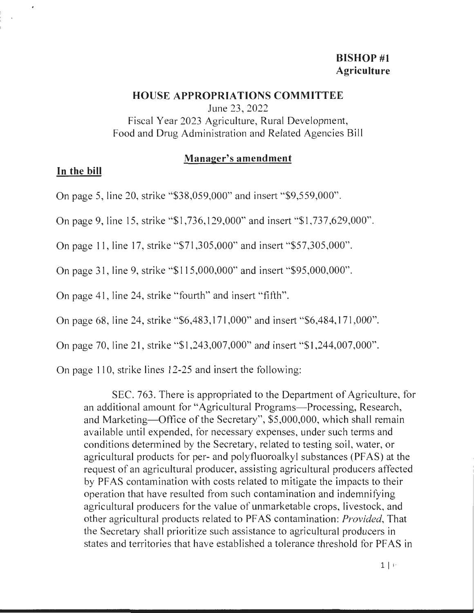# **BISHOP #1 Agriculture**

### **HOUSE APPROPRIATIONS COMMITTEE**

June 23, 2022 Fiscal Year 2023 Agriculture, Rural Development, Food and Drug Administration and Related Agencies Bill

### **Manager's amendment**

### **In the bill**

 $\epsilon$ 

On page 5, line 20, strike "\$38,059,000" and insert "\$9,559,000".

On page 9, line 15, strike "\$1,736,129,000" and insert "\$1,737,629,000".

On page 11, line 17, strike "\$71,305,000" and insert "\$57,305,000".

On page 31, line 9, strike "\$115,000,000" and insert "\$95,000,000".

On page 41, line 24, strike "fourth" and insert "fifth".

On page 68, line 24, strike "\$6,483,171,000" and insert "\$6,484,171,000".

On page 70, line 21, strike "\$1,243,007,000" and insert "\$1,244,007,000".

On page 110, strike lines 12-25 and insert the following:

SEC. 763. There is appropriated to the Department of Agriculture, for an additional amount for "Agricultural Programs—Processing, Research, and Marketing-Office of the Secretary", \$5,000,000, which shall remain available until expended, for necessary expenses, under such terms and conditions determined by the Secretary, related to testing soil, water, or agricultural products for per- and polyfluoroalkyl substances (PFAS) at the request of an agricultural producer, assisting agricultural producers affected by PFAS contamination with costs related to mitigate the impacts to their operation that have resulted from such contamination and indemnifying agricultural producers for the value of unmarketable crops, livestock, and other agricultural products related to PFAS contamination: *Provided,* That the Secretary shall prioritize such assistance to agricultural producers in states and territories that have established a tolerance threshold for PF AS in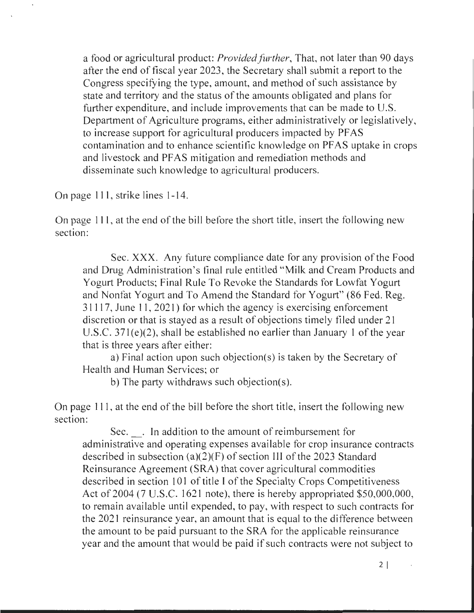a food or agricultural product: *Provided further,* That, not later than 90 days after the end of fiscal year 2023, the Secretary shall submit a report to the Congress specifying the type, amount, and method of such assistance by state and territory and the status of the amounts obligated and plans for further expenditure, and include improvements that can be made to U.S. Department of Agriculture programs, either administratively or legislatively, to increase support for agricultural producers impacted by PFAS contamination and to enhance scientific knowledge on PFAS uptake in crops and livestock and PFAS mitigation and remediation methods and disseminate such knowledge to agricultural producers.

On page 111, strike lines 1-14.

On page 111, at the end of the bill before the short title, insert the following new section:

Sec. **XXX.** Any future compliance date for any provision of the Food and Drug Administration's final rule entitled "Milk and Cream Products and Yogurt Products; Final Rule To Revoke the Standards for Lowfat Yogurt and Nonfat Yogurt and To Amend the Standard for Yogurt" (86 Fed. Reg. 31117, June 11, 2021) for which the agency is exercising enforcement discretion or that is stayed as a result of objections timely filed under 21 U.S.C. 37l(e)(2), shall be established no earlier than January 1 of the year that is three years after either:

a) Final action upon such objection(s) is taken by the Secretary of Health and Human Services; or

b) The party withdraws such objection(s).

On page 111 , at the end of the bill before the short title, insert the following new section:

Sec. . In addition to the amount of reimbursement for administrative and operating expenses available for crop insurance contracts described in subsection (a)(2)(F) of section 111 of the 2023 Standard Reinsurance Agreement (SRA) that cover agricultural commodities described in section 101 of title I of the Specialty Crops Competitiveness Act of 2004 (7 U.S.C. 1621 note), there is hereby appropriated \$50,000,000, to remain available until expended, to pay, with respect to such contracts for the 2021 reinsurance year, an amount that is equal to the difference between the amount to be paid pursuant to the SRA for the applicable reinsurance year and the amount that would be paid if such contracts were not subject to

 $2 \mid$ 

 $\alpha$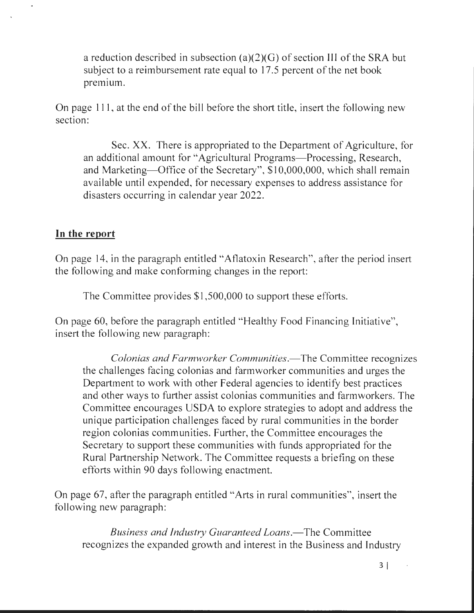a reduction described in subsection (a)(2)(G) of section 111 of the SRA but subject to a reimbursement rate equal to 17.5 percent of the net book premium.

On page 111, at the end of the bill before the short title, insert the following new section:

Sec. XX. There is appropriated to the Department of Agriculture, for an additional amount for "Agricultural Programs—Processing, Research, and Marketing—Office of the Secretary", \$10,000,000, which shall remain available until expended, for necessary expenses to address assistance for disasters occurring in calendar year 2022.

# **In the report**

 $\bullet$ 

On page 14, in the paragraph entitled "Atlatoxin Research", after the period insert the following and make conforming changes in the report:

The Committee provides \$1,500,000 to support these efforts.

On page 60, before the paragraph entitled "Healthy Food Financing Initiative", insert the following new paragraph:

*Colonias and Farmworker Communities.-The* Committee recognizes the challenges facing colonias and farmworker communities and urges the Department to work with other Federal agencies to identify best practices and other ways to futther assist colonias communities and farmworkers. The Committee encourages USDA to explore strategies to adopt and address the unique participation challenges faced by rural communities in the border region colonias communities. Further, the Committee encourages the Secretary to support these communities with funds appropriated for the Rural Partnership Network. The Committee requests a briefing on these efforts within 90 days following enactment.

On page 67, after the paragraph entitled "Arts in rural communities", insert the following new paragraph:

*Business and Industry Guaranteed Loans.-The* Committee recognizes the expanded growth and interest in the Business and Industry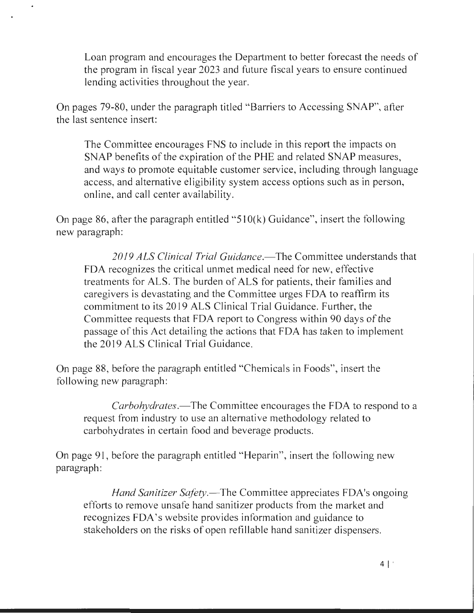Loan program and encourages the Department to better forecast the needs of the program in fiscal year 2023 and future fiscal years to ensure continued lending activities throughout the year.

On pages 79-80, under the paragraph titled "Barriers to Accessing SNAP", after the last sentence insert:

 $\ddot{\phantom{0}}$ 

The Committee encourages FNS to include in this report the impacts on SNAP benefits of the expiration of the PHE and related SNAP measures, and ways to promote equitable customer service, including through language access, and alternative eligibility system access options such as in person, online, and call center availability.

On page 86, after the paragraph entitled "510(k) Guidance", insert the following new paragraph:

2019 ALS Clinical Trial Guidance.—The Committee understands that FDA recognizes the critical unmet medical need for new, effective treatments for ALS. The burden of ALS for patients, their families and caregivers is devastating and the Committee urges FDA to reaffirm its commitment to its 2019 ALS Clinical Trial Guidance. Further, the Committee requests that FDA report to Congress within 90 days of the passage of this Act detailing the actions that FDA has taken to implement the 2019 ALS Clinical Trial Guidance.

On page 88, before the paragraph entitled "Chemicals in Foods", insert the following new paragraph:

*Carbohydrates.*—The Committee encourages the FDA to respond to a request from industry to use an alternative methodology related to carbohydrates in certain food and beverage products.

On page 91, before the paragraph entitled "Heparin", insert the following new paragraph:

*Hand Sanitizer Safety.*—The Committee appreciates FDA's ongoing efforts to remove unsafe hand sanitizer products from the market and recognizes FDA's website provides information and guidance to stakeholders on the risks of open refillable hand sanitizer dispensers.